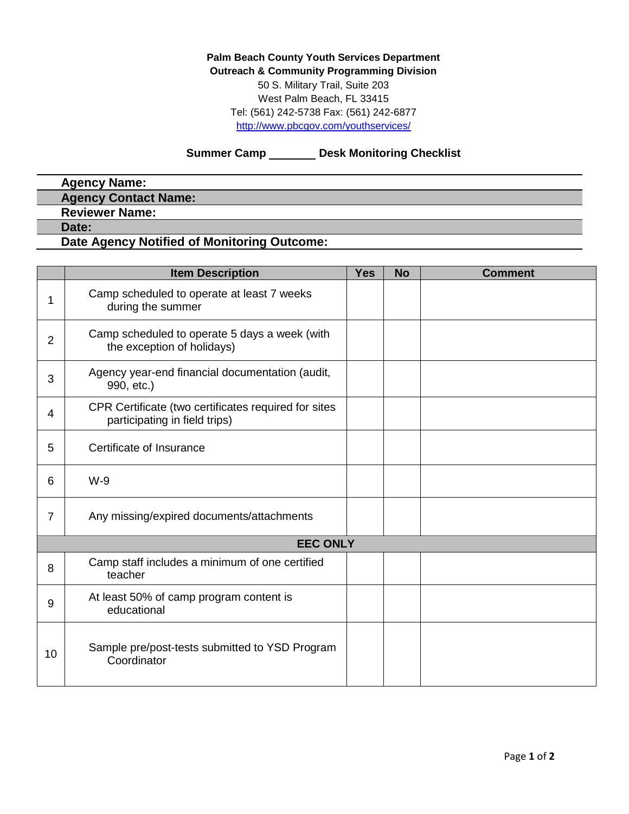**Palm Beach County Youth Services Department Outreach & Community Programming Division** 50 S. Military Trail, Suite 203 West Palm Beach, FL 33415 Tel: (561) 242-5738 Fax: (561) 242-6877 <http://www.pbcgov.com/youthservices/>

**Summer Camp \_\_\_\_\_\_\_ Desk Monitoring Checklist** 

## **Agency Name: Agency Contact Name: Reviewer Name: Date: Date Agency Notified of Monitoring Outcome:**

|                 | <b>Item Description</b>                                                               | <b>Yes</b> | <b>No</b> | <b>Comment</b> |  |  |
|-----------------|---------------------------------------------------------------------------------------|------------|-----------|----------------|--|--|
| 1               | Camp scheduled to operate at least 7 weeks<br>during the summer                       |            |           |                |  |  |
| $\overline{2}$  | Camp scheduled to operate 5 days a week (with<br>the exception of holidays)           |            |           |                |  |  |
| 3               | Agency year-end financial documentation (audit,<br>990, etc.)                         |            |           |                |  |  |
| 4               | CPR Certificate (two certificates required for sites<br>participating in field trips) |            |           |                |  |  |
| 5               | Certificate of Insurance                                                              |            |           |                |  |  |
| 6               | $W-9$                                                                                 |            |           |                |  |  |
| $\overline{7}$  | Any missing/expired documents/attachments                                             |            |           |                |  |  |
| <b>EEC ONLY</b> |                                                                                       |            |           |                |  |  |
| 8               | Camp staff includes a minimum of one certified<br>teacher                             |            |           |                |  |  |
| 9               | At least 50% of camp program content is<br>educational                                |            |           |                |  |  |
| 10              | Sample pre/post-tests submitted to YSD Program<br>Coordinator                         |            |           |                |  |  |